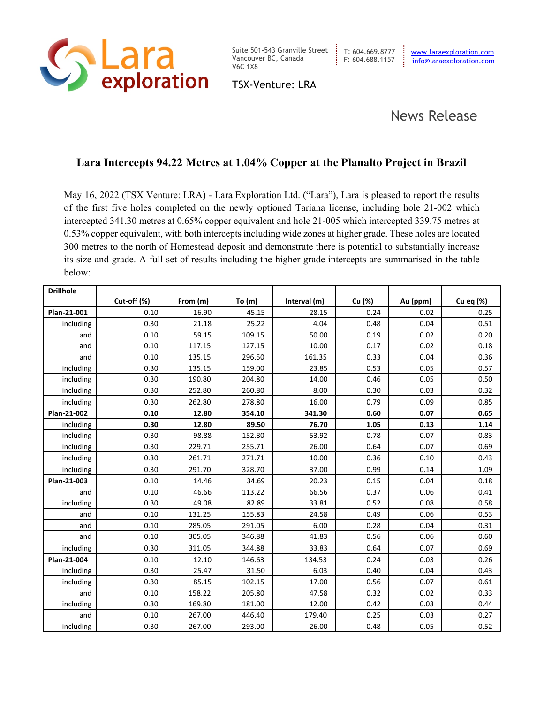

Suite 501-543 Granville Street Vancouver BC, Canada T: 604.669.8777 [www.laraexploration.com](http://www.laraexploration.com/) V6C 1X8

TSX-Venture: LRA

## News Release

## **Lara Intercepts 94.22 Metres at 1.04% Copper at the Planalto Project in Brazil**

May 16, 2022 (TSX Venture: LRA) - Lara Exploration Ltd. ("Lara"), Lara is pleased to report the results of the first five holes completed on the newly optioned Tariana license, including hole 21-002 which intercepted 341.30 metres at 0.65% copper equivalent and hole 21-005 which intercepted 339.75 metres at 0.53% copper equivalent, with both intercepts including wide zones at higher grade. These holes are located 300 metres to the north of Homestead deposit and demonstrate there is potential to substantially increase its size and grade. A full set of results including the higher grade intercepts are summarised in the table below:

| <b>Drillhole</b> |             |          |        |              |        |          |           |
|------------------|-------------|----------|--------|--------------|--------|----------|-----------|
|                  | Cut-off (%) | From (m) | To (m) | Interval (m) | Cu (%) | Au (ppm) | Cu eq (%) |
| Plan-21-001      | 0.10        | 16.90    | 45.15  | 28.15        | 0.24   | 0.02     | 0.25      |
| including        | 0.30        | 21.18    | 25.22  | 4.04         | 0.48   | 0.04     | 0.51      |
| and              | 0.10        | 59.15    | 109.15 | 50.00        | 0.19   | 0.02     | 0.20      |
| and              | 0.10        | 117.15   | 127.15 | 10.00        | 0.17   | 0.02     | 0.18      |
| and              | 0.10        | 135.15   | 296.50 | 161.35       | 0.33   | 0.04     | 0.36      |
| including        | 0.30        | 135.15   | 159.00 | 23.85        | 0.53   | 0.05     | 0.57      |
| including        | 0.30        | 190.80   | 204.80 | 14.00        | 0.46   | 0.05     | 0.50      |
| including        | 0.30        | 252.80   | 260.80 | 8.00         | 0.30   | 0.03     | 0.32      |
| including        | 0.30        | 262.80   | 278.80 | 16.00        | 0.79   | 0.09     | 0.85      |
| Plan-21-002      | 0.10        | 12.80    | 354.10 | 341.30       | 0.60   | 0.07     | 0.65      |
| including        | 0.30        | 12.80    | 89.50  | 76.70        | 1.05   | 0.13     | 1.14      |
| including        | 0.30        | 98.88    | 152.80 | 53.92        | 0.78   | 0.07     | 0.83      |
| including        | 0.30        | 229.71   | 255.71 | 26.00        | 0.64   | 0.07     | 0.69      |
| including        | 0.30        | 261.71   | 271.71 | 10.00        | 0.36   | 0.10     | 0.43      |
| including        | 0.30        | 291.70   | 328.70 | 37.00        | 0.99   | 0.14     | 1.09      |
| Plan-21-003      | 0.10        | 14.46    | 34.69  | 20.23        | 0.15   | 0.04     | 0.18      |
| and              | 0.10        | 46.66    | 113.22 | 66.56        | 0.37   | 0.06     | 0.41      |
| including        | 0.30        | 49.08    | 82.89  | 33.81        | 0.52   | 0.08     | 0.58      |
| and              | 0.10        | 131.25   | 155.83 | 24.58        | 0.49   | 0.06     | 0.53      |
| and              | 0.10        | 285.05   | 291.05 | 6.00         | 0.28   | 0.04     | 0.31      |
| and              | 0.10        | 305.05   | 346.88 | 41.83        | 0.56   | 0.06     | 0.60      |
| including        | 0.30        | 311.05   | 344.88 | 33.83        | 0.64   | 0.07     | 0.69      |
| Plan-21-004      | 0.10        | 12.10    | 146.63 | 134.53       | 0.24   | 0.03     | 0.26      |
| including        | 0.30        | 25.47    | 31.50  | 6.03         | 0.40   | 0.04     | 0.43      |
| including        | 0.30        | 85.15    | 102.15 | 17.00        | 0.56   | 0.07     | 0.61      |
| and              | 0.10        | 158.22   | 205.80 | 47.58        | 0.32   | 0.02     | 0.33      |
| including        | 0.30        | 169.80   | 181.00 | 12.00        | 0.42   | 0.03     | 0.44      |
| and              | 0.10        | 267.00   | 446.40 | 179.40       | 0.25   | 0.03     | 0.27      |
| including        | 0.30        | 267.00   | 293.00 | 26.00        | 0.48   | 0.05     | 0.52      |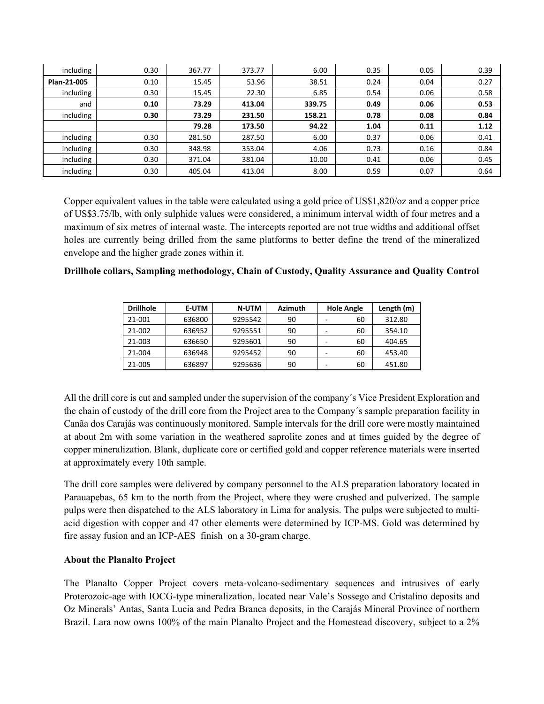| including   | 0.30 | 367.77 | 373.77 | 6.00   | 0.35 | 0.05 | 0.39 |
|-------------|------|--------|--------|--------|------|------|------|
| Plan-21-005 | 0.10 | 15.45  | 53.96  | 38.51  | 0.24 | 0.04 | 0.27 |
| including   | 0.30 | 15.45  | 22.30  | 6.85   | 0.54 | 0.06 | 0.58 |
| and         | 0.10 | 73.29  | 413.04 | 339.75 | 0.49 | 0.06 | 0.53 |
| including   | 0.30 | 73.29  | 231.50 | 158.21 | 0.78 | 0.08 | 0.84 |
|             |      | 79.28  | 173.50 | 94.22  | 1.04 | 0.11 | 1.12 |
| including   | 0.30 | 281.50 | 287.50 | 6.00   | 0.37 | 0.06 | 0.41 |
| including   | 0.30 | 348.98 | 353.04 | 4.06   | 0.73 | 0.16 | 0.84 |
| including   | 0.30 | 371.04 | 381.04 | 10.00  | 0.41 | 0.06 | 0.45 |
| including   | 0.30 | 405.04 | 413.04 | 8.00   | 0.59 | 0.07 | 0.64 |

Copper equivalent values in the table were calculated using a gold price of US\$1,820/oz and a copper price of US\$3.75/lb, with only sulphide values were considered, a minimum interval width of four metres and a maximum of six metres of internal waste. The intercepts reported are not true widths and additional offset holes are currently being drilled from the same platforms to better define the trend of the mineralized envelope and the higher grade zones within it.

| <b>Drillhole</b> | <b>E-UTM</b> | <b>N-UTM</b> | <b>Azimuth</b> | <b>Hole Angle</b> |    | Length (m) |
|------------------|--------------|--------------|----------------|-------------------|----|------------|
| 21-001           | 636800       | 9295542      | 90             |                   | 60 | 312.80     |
| 21-002           | 636952       | 9295551      | 90             |                   | 60 | 354.10     |
| 21-003           | 636650       | 9295601      | 90             |                   | 60 | 404.65     |
| 21-004           | 636948       | 9295452      | 90             |                   | 60 | 453.40     |
| 21-005           | 636897       | 9295636      | 90             |                   | 60 | 451.80     |

**Drillhole collars, Sampling methodology, Chain of Custody, Quality Assurance and Quality Control**

All the drill core is cut and sampled under the supervision of the company´s Vice President Exploration and the chain of custody of the drill core from the Project area to the Company´s sample preparation facility in Canãa dos Carajás was continuously monitored. Sample intervals for the drill core were mostly maintained at about 2m with some variation in the weathered saprolite zones and at times guided by the degree of copper mineralization. Blank, duplicate core or certified gold and copper reference materials were inserted at approximately every 10th sample.

The drill core samples were delivered by company personnel to the ALS preparation laboratory located in Parauapebas, 65 km to the north from the Project, where they were crushed and pulverized. The sample pulps were then dispatched to the ALS laboratory in Lima for analysis. The pulps were subjected to multiacid digestion with copper and 47 other elements were determined by ICP-MS. Gold was determined by fire assay fusion and an ICP-AES finish on a 30-gram charge.

## **About the Planalto Project**

The Planalto Copper Project covers meta-volcano-sedimentary sequences and intrusives of early Proterozoic-age with IOCG-type mineralization, located near Vale's Sossego and Cristalino deposits and Oz Minerals' Antas, Santa Lucia and Pedra Branca deposits, in the Carajás Mineral Province of northern Brazil. Lara now owns 100% of the main Planalto Project and the Homestead discovery, subject to a 2%